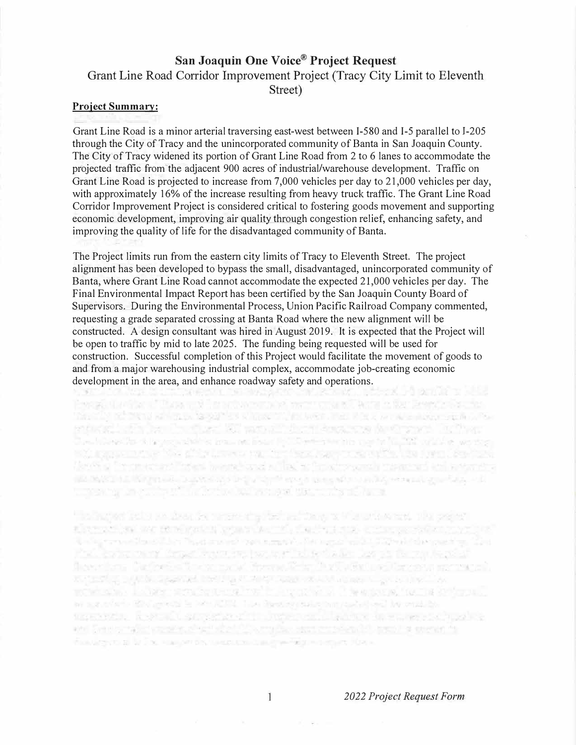## **San Joaquin One Voice® Project Request**  Grant Line Road Corridor Improvement Project (Tracy City Limit to Eleventh Street)

## **Project Summary:**

Grant Line Road is a minor arterial traversing east-west between 1-580 and 1-5 parallel to 1-205 through the City of Tracy and the unincorporated community of Banta in San Joaquin County. The City of Tracy widened its portion of Grant Line Road from 2 to 6 lanes to accommodate the projected traffic from the adjacent 900 acres of industrial/warehouse development. Traffic on Grant Line Road is projected to increase from 7,000 vehicles per day to 21,000 vehicles per day, with approximately 16% of the increase resulting from heavy truck traffic. The Grant Line Road Corridor Improvement Project is considered critical to fostering goods movement and supporting economic development, improving air quality through congestion relief, enhancing safety, and improving the quality of life for the disadvantaged community of Banta.

The Project limits run from the eastern city limits of Tracy to Eleventh Street. The project alignment has been developed to bypass the small, disadvantaged, unincorporated community of Banta, where Grant Line Road cannot accommodate the expected 21,000 vehicles per day. The Final Environmental Impact Report has been certified by the San Joaquin County Board of Supervisors. During the Environmental Process, Union Pacific Railroad Company commented, requesting a grade separated crossing at Banta Road where the new alignment will be constructed. A design consultant was hired in August 2019. It is expected that the Project will be open to traffic by mid to late 2025. The funding being requested will be used for construction. Successful completion of this Project would facilitate the movement of goods to and from a major warehousing industrial complex, accommodate job-creating economic development in the area, and enhance roadway safety and operations.<br>
Let us a set of the same state of the same state of the same state of the same state of the same state of the<br>
development in the area, and enhance roadw

the CDP of DRAW when to factor has shown that were the state of the world and the state of residents for the first RT was in their search in Control B. Then the home than it have considered from no first at 10000 million in the fit. The contact we show with propositions will give however you that the subsection of the late time is a three there a financial contributed and software final practice and articles a all bigger an interpretational control of the state energy presentence in the computation with

tones by the still be of the factor with a set of the contract factor

the factor feels are then for these studies as the control of the second that second ristration in their single parties in the friends states of a since  $\pi/\pi$ The Contract continue that makes one company to the contract of the contract of the Packador para departementos tor "al teritolo las sis facem la paul flow form Catherine Contracts' Howard Edg. In the State Catherine and models. The control of the control of the control of the control of the control of the control of the control of the control of the control of the control of the control of the control of the control of the control of the control within the Labor structure of the squares. I tempere for the systems. in augustation find model is with 2002. The displayment model building hypothesis topological posterior strangement in the result of the contract of the local contract of and Send of the construction of the US wouldness and coupling (1), pass I is another for fundation of lating supporting magnetic duration-big superior form.

*2022 Project Request Form* 

 $\mathbf{1}$